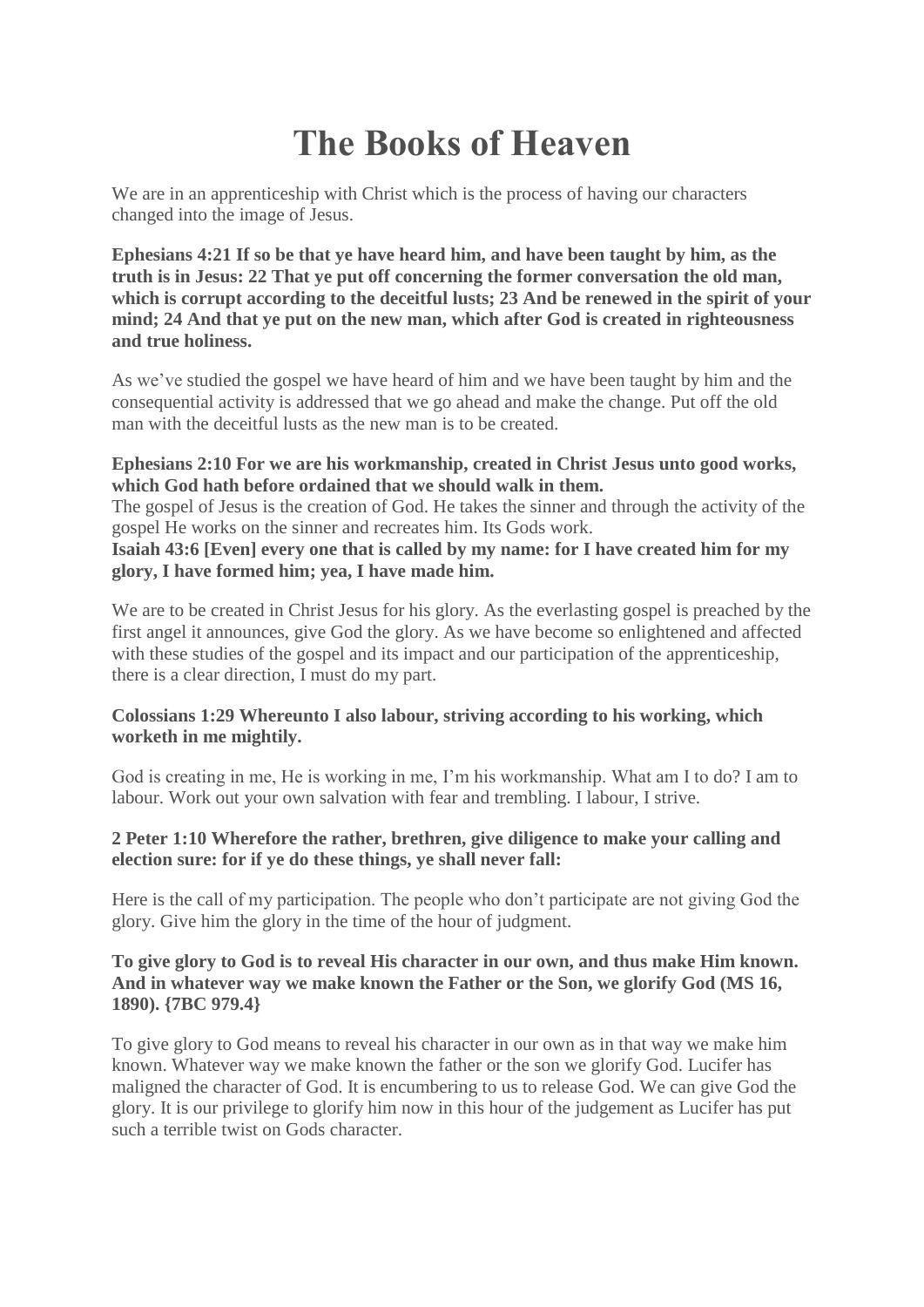# **The Books of Heaven**

We are in an apprenticeship with Christ which is the process of having our characters changed into the image of Jesus.

**Ephesians 4:21 If so be that ye have heard him, and have been taught by him, as the truth is in Jesus: 22 That ye put off concerning the former conversation the old man, which is corrupt according to the deceitful lusts; 23 And be renewed in the spirit of your mind; 24 And that ye put on the new man, which after God is created in righteousness and true holiness.**

As we've studied the gospel we have heard of him and we have been taught by him and the consequential activity is addressed that we go ahead and make the change. Put off the old man with the deceitful lusts as the new man is to be created.

## **Ephesians 2:10 For we are his workmanship, created in Christ Jesus unto good works, which God hath before ordained that we should walk in them.**

The gospel of Jesus is the creation of God. He takes the sinner and through the activity of the gospel He works on the sinner and recreates him. Its Gods work.

**Isaiah 43:6 [Even] every one that is called by my name: for I have created him for my glory, I have formed him; yea, I have made him.**

We are to be created in Christ Jesus for his glory. As the everlasting gospel is preached by the first angel it announces, give God the glory. As we have become so enlightened and affected with these studies of the gospel and its impact and our participation of the apprenticeship, there is a clear direction, I must do my part.

## **Colossians 1:29 Whereunto I also labour, striving according to his working, which worketh in me mightily.**

God is creating in me, He is working in me, I'm his workmanship. What am I to do? I am to labour. Work out your own salvation with fear and trembling. I labour, I strive.

## **2 Peter 1:10 Wherefore the rather, brethren, give diligence to make your calling and election sure: for if ye do these things, ye shall never fall:**

Here is the call of my participation. The people who don't participate are not giving God the glory. Give him the glory in the time of the hour of judgment.

## **To give glory to God is to reveal His character in our own, and thus make Him known. And in whatever way we make known the Father or the Son, we glorify God (MS 16, 1890). {7BC 979.4}**

To give glory to God means to reveal his character in our own as in that way we make him known. Whatever way we make known the father or the son we glorify God. Lucifer has maligned the character of God. It is encumbering to us to release God. We can give God the glory. It is our privilege to glorify him now in this hour of the judgement as Lucifer has put such a terrible twist on Gods character.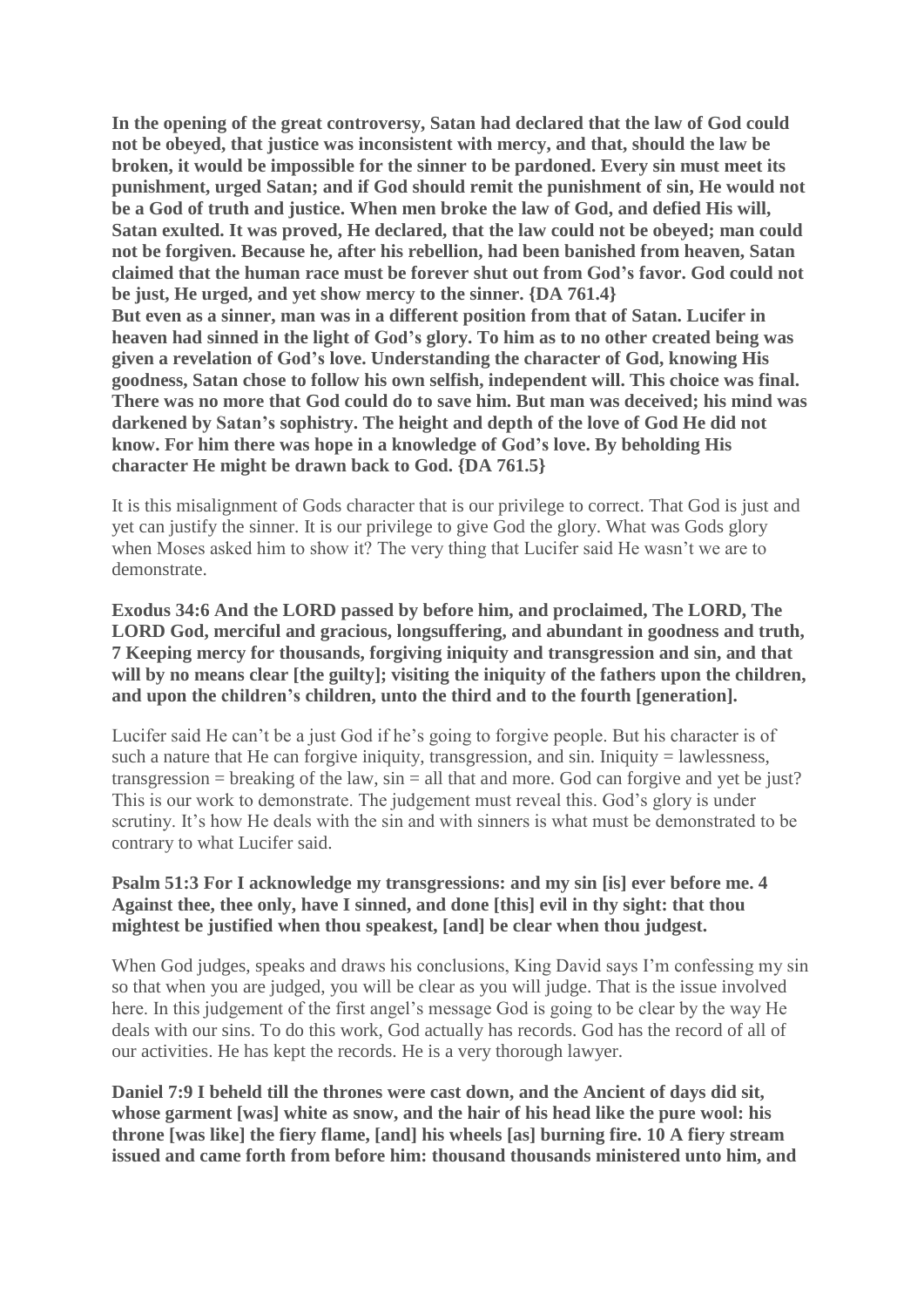**In the opening of the great controversy, Satan had declared that the law of God could not be obeyed, that justice was inconsistent with mercy, and that, should the law be broken, it would be impossible for the sinner to be pardoned. Every sin must meet its punishment, urged Satan; and if God should remit the punishment of sin, He would not be a God of truth and justice. When men broke the law of God, and defied His will, Satan exulted. It was proved, He declared, that the law could not be obeyed; man could not be forgiven. Because he, after his rebellion, had been banished from heaven, Satan claimed that the human race must be forever shut out from God's favor. God could not be just, He urged, and yet show mercy to the sinner. {DA 761.4} But even as a sinner, man was in a different position from that of Satan. Lucifer in heaven had sinned in the light of God's glory. To him as to no other created being was given a revelation of God's love. Understanding the character of God, knowing His goodness, Satan chose to follow his own selfish, independent will. This choice was final. There was no more that God could do to save him. But man was deceived; his mind was darkened by Satan's sophistry. The height and depth of the love of God He did not know. For him there was hope in a knowledge of God's love. By beholding His character He might be drawn back to God. {DA 761.5}**

It is this misalignment of Gods character that is our privilege to correct. That God is just and yet can justify the sinner. It is our privilege to give God the glory. What was Gods glory when Moses asked him to show it? The very thing that Lucifer said He wasn't we are to demonstrate.

**Exodus 34:6 And the LORD passed by before him, and proclaimed, The LORD, The LORD God, merciful and gracious, longsuffering, and abundant in goodness and truth, 7 Keeping mercy for thousands, forgiving iniquity and transgression and sin, and that will by no means clear [the guilty]; visiting the iniquity of the fathers upon the children, and upon the children's children, unto the third and to the fourth [generation].**

Lucifer said He can't be a just God if he's going to forgive people. But his character is of such a nature that He can forgive iniquity, transgression, and  $sin$ . Iniquity  $=$  lawlessness, transgression  $=$  breaking of the law,  $sin = all$  that and more. God can forgive and yet be just? This is our work to demonstrate. The judgement must reveal this. God's glory is under scrutiny. It's how He deals with the sin and with sinners is what must be demonstrated to be contrary to what Lucifer said.

## **Psalm 51:3 For I acknowledge my transgressions: and my sin [is] ever before me. 4 Against thee, thee only, have I sinned, and done [this] evil in thy sight: that thou mightest be justified when thou speakest, [and] be clear when thou judgest.**

When God judges, speaks and draws his conclusions, King David says I'm confessing my sin so that when you are judged, you will be clear as you will judge. That is the issue involved here. In this judgement of the first angel's message God is going to be clear by the way He deals with our sins. To do this work, God actually has records. God has the record of all of our activities. He has kept the records. He is a very thorough lawyer.

**Daniel 7:9 I beheld till the thrones were cast down, and the Ancient of days did sit, whose garment [was] white as snow, and the hair of his head like the pure wool: his throne [was like] the fiery flame, [and] his wheels [as] burning fire. 10 A fiery stream issued and came forth from before him: thousand thousands ministered unto him, and**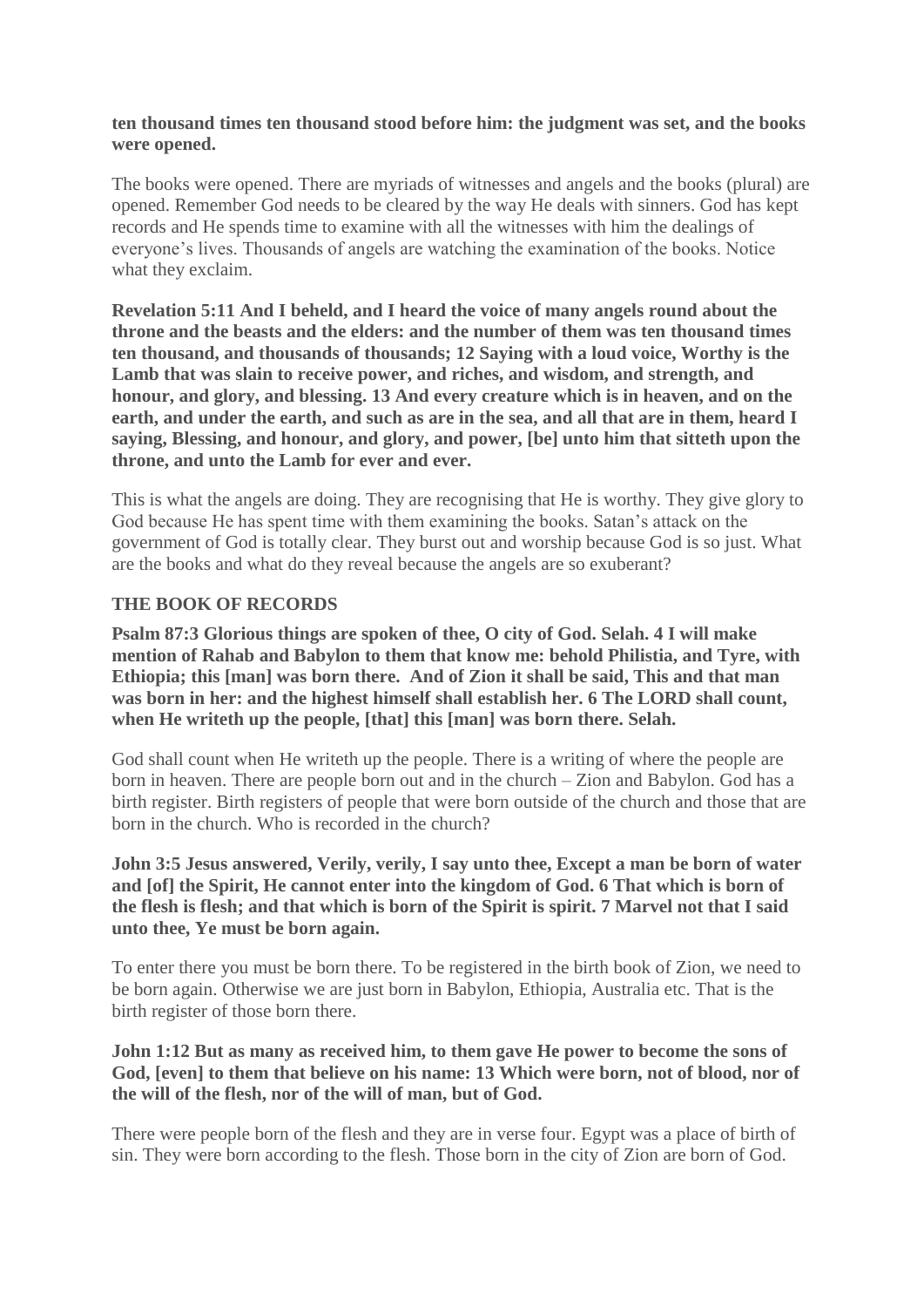#### **ten thousand times ten thousand stood before him: the judgment was set, and the books were opened.**

The books were opened. There are myriads of witnesses and angels and the books (plural) are opened. Remember God needs to be cleared by the way He deals with sinners. God has kept records and He spends time to examine with all the witnesses with him the dealings of everyone's lives. Thousands of angels are watching the examination of the books. Notice what they exclaim.

**Revelation 5:11 And I beheld, and I heard the voice of many angels round about the throne and the beasts and the elders: and the number of them was ten thousand times ten thousand, and thousands of thousands; 12 Saying with a loud voice, Worthy is the Lamb that was slain to receive power, and riches, and wisdom, and strength, and honour, and glory, and blessing. 13 And every creature which is in heaven, and on the** earth, and under the earth, and such as are in the sea, and all that are in them, heard I **saying, Blessing, and honour, and glory, and power, [be] unto him that sitteth upon the throne, and unto the Lamb for ever and ever.**

This is what the angels are doing. They are recognising that He is worthy. They give glory to God because He has spent time with them examining the books. Satan's attack on the government of God is totally clear. They burst out and worship because God is so just. What are the books and what do they reveal because the angels are so exuberant?

## **THE BOOK OF RECORDS**

**Psalm 87:3 Glorious things are spoken of thee, O city of God. Selah. 4 I will make mention of Rahab and Babylon to them that know me: behold Philistia, and Tyre, with Ethiopia; this [man] was born there. And of Zion it shall be said, This and that man was born in her: and the highest himself shall establish her. 6 The LORD shall count, when He writeth up the people, [that] this [man] was born there. Selah.**

God shall count when He writeth up the people. There is a writing of where the people are born in heaven. There are people born out and in the church – Zion and Babylon. God has a birth register. Birth registers of people that were born outside of the church and those that are born in the church. Who is recorded in the church?

#### **John 3:5 Jesus answered, Verily, verily, I say unto thee, Except a man be born of water and [of] the Spirit, He cannot enter into the kingdom of God. 6 That which is born of** the flesh is flesh; and that which is born of the Spirit is spirit. 7 Marvel not that I said **unto thee, Ye must be born again.**

To enter there you must be born there. To be registered in the birth book of Zion, we need to be born again. Otherwise we are just born in Babylon, Ethiopia, Australia etc. That is the birth register of those born there.

## **John 1:12 But as many as received him, to them gave He power to become the sons of God, [even] to them that believe on his name: 13 Which were born, not of blood, nor of the will of the flesh, nor of the will of man, but of God.**

There were people born of the flesh and they are in verse four. Egypt was a place of birth of sin. They were born according to the flesh. Those born in the city of Zion are born of God.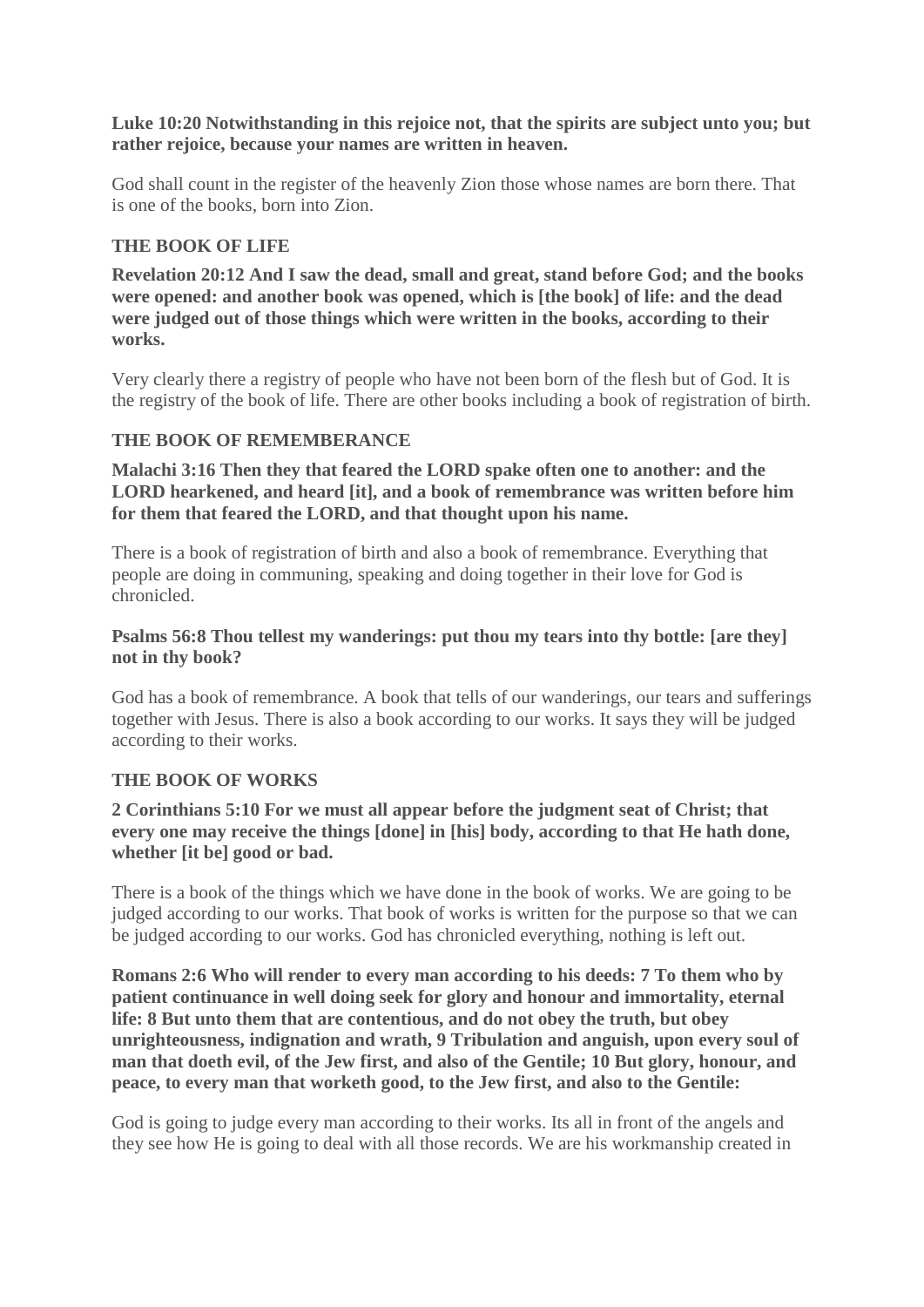#### **Luke 10:20 Notwithstanding in this rejoice not, that the spirits are subject unto you; but rather rejoice, because your names are written in heaven.**

God shall count in the register of the heavenly Zion those whose names are born there. That is one of the books, born into Zion.

## **THE BOOK OF LIFE**

**Revelation 20:12 And I saw the dead, small and great, stand before God; and the books were opened: and another book was opened, which is [the book] of life: and the dead were judged out of those things which were written in the books, according to their works.**

Very clearly there a registry of people who have not been born of the flesh but of God. It is the registry of the book of life. There are other books including a book of registration of birth.

## **THE BOOK OF REMEMBERANCE**

**Malachi 3:16 Then they that feared the LORD spake often one to another: and the LORD hearkened, and heard [it], and a book of remembrance was written before him for them that feared the LORD, and that thought upon his name.**

There is a book of registration of birth and also a book of remembrance. Everything that people are doing in communing, speaking and doing together in their love for God is chronicled.

## **Psalms 56:8 Thou tellest my wanderings: put thou my tears into thy bottle: [are they] not in thy book?**

God has a book of remembrance. A book that tells of our wanderings, our tears and sufferings together with Jesus. There is also a book according to our works. It says they will be judged according to their works.

## **THE BOOK OF WORKS**

## **2 Corinthians 5:10 For we must all appear before the judgment seat of Christ; that every one may receive the things [done] in [his] body, according to that He hath done, whether [it be] good or bad.**

There is a book of the things which we have done in the book of works. We are going to be judged according to our works. That book of works is written for the purpose so that we can be judged according to our works. God has chronicled everything, nothing is left out.

**Romans 2:6 Who will render to every man according to his deeds: 7 To them who by patient continuance in well doing seek for glory and honour and immortality, eternal life: 8 But unto them that are contentious, and do not obey the truth, but obey unrighteousness, indignation and wrath, 9 Tribulation and anguish, upon every soul of man that doeth evil, of the Jew first, and also of the Gentile; 10 But glory, honour, and peace, to every man that worketh good, to the Jew first, and also to the Gentile:**

God is going to judge every man according to their works. Its all in front of the angels and they see how He is going to deal with all those records. We are his workmanship created in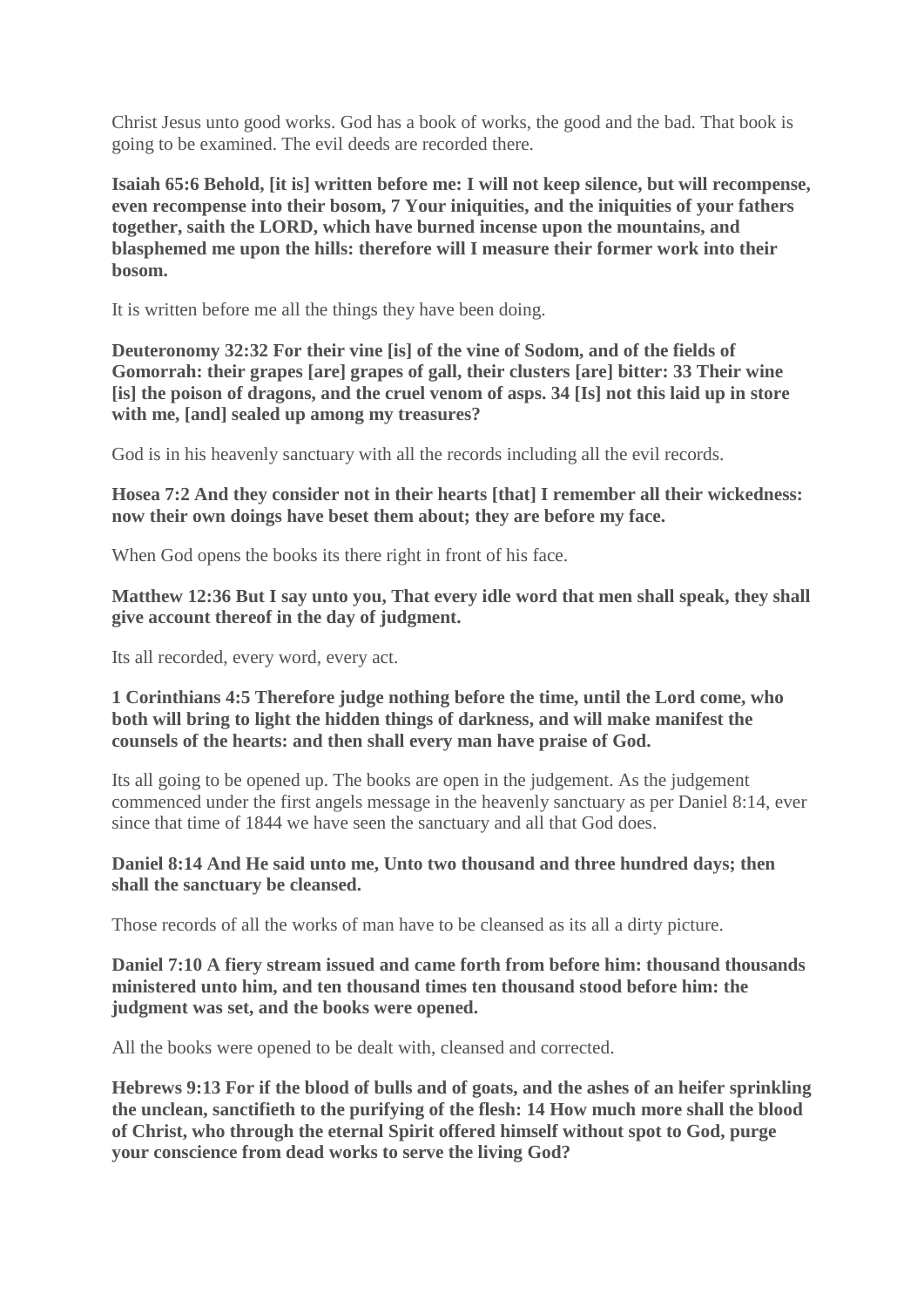Christ Jesus unto good works. God has a book of works, the good and the bad. That book is going to be examined. The evil deeds are recorded there.

**Isaiah 65:6 Behold, [it is] written before me: I will not keep silence, but will recompense, even recompense into their bosom, 7 Your iniquities, and the iniquities of your fathers together, saith the LORD, which have burned incense upon the mountains, and blasphemed me upon the hills: therefore will I measure their former work into their bosom.**

It is written before me all the things they have been doing.

**Deuteronomy 32:32 For their vine [is] of the vine of Sodom, and of the fields of Gomorrah: their grapes [are] grapes of gall, their clusters [are] bitter: 33 Their wine [is] the poison of dragons, and the cruel venom of asps. 34 [Is] not this laid up in store with me, [and] sealed up among my treasures?**

God is in his heavenly sanctuary with all the records including all the evil records.

**Hosea 7:2 And they consider not in their hearts [that] I remember all their wickedness: now their own doings have beset them about; they are before my face.**

When God opens the books its there right in front of his face.

**Matthew 12:36 But I say unto you, That every idle word that men shall speak, they shall give account thereof in the day of judgment.**

Its all recorded, every word, every act.

## **1 Corinthians 4:5 Therefore judge nothing before the time, until the Lord come, who both will bring to light the hidden things of darkness, and will make manifest the counsels of the hearts: and then shall every man have praise of God.**

Its all going to be opened up. The books are open in the judgement. As the judgement commenced under the first angels message in the heavenly sanctuary as per Daniel 8:14, ever since that time of 1844 we have seen the sanctuary and all that God does.

## **Daniel 8:14 And He said unto me, Unto two thousand and three hundred days; then shall the sanctuary be cleansed.**

Those records of all the works of man have to be cleansed as its all a dirty picture.

## **Daniel 7:10 A fiery stream issued and came forth from before him: thousand thousands ministered unto him, and ten thousand times ten thousand stood before him: the judgment was set, and the books were opened.**

All the books were opened to be dealt with, cleansed and corrected.

**Hebrews 9:13 For if the blood of bulls and of goats, and the ashes of an heifer sprinkling the unclean, sanctifieth to the purifying of the flesh: 14 How much more shall the blood of Christ, who through the eternal Spirit offered himself without spot to God, purge your conscience from dead works to serve the living God?**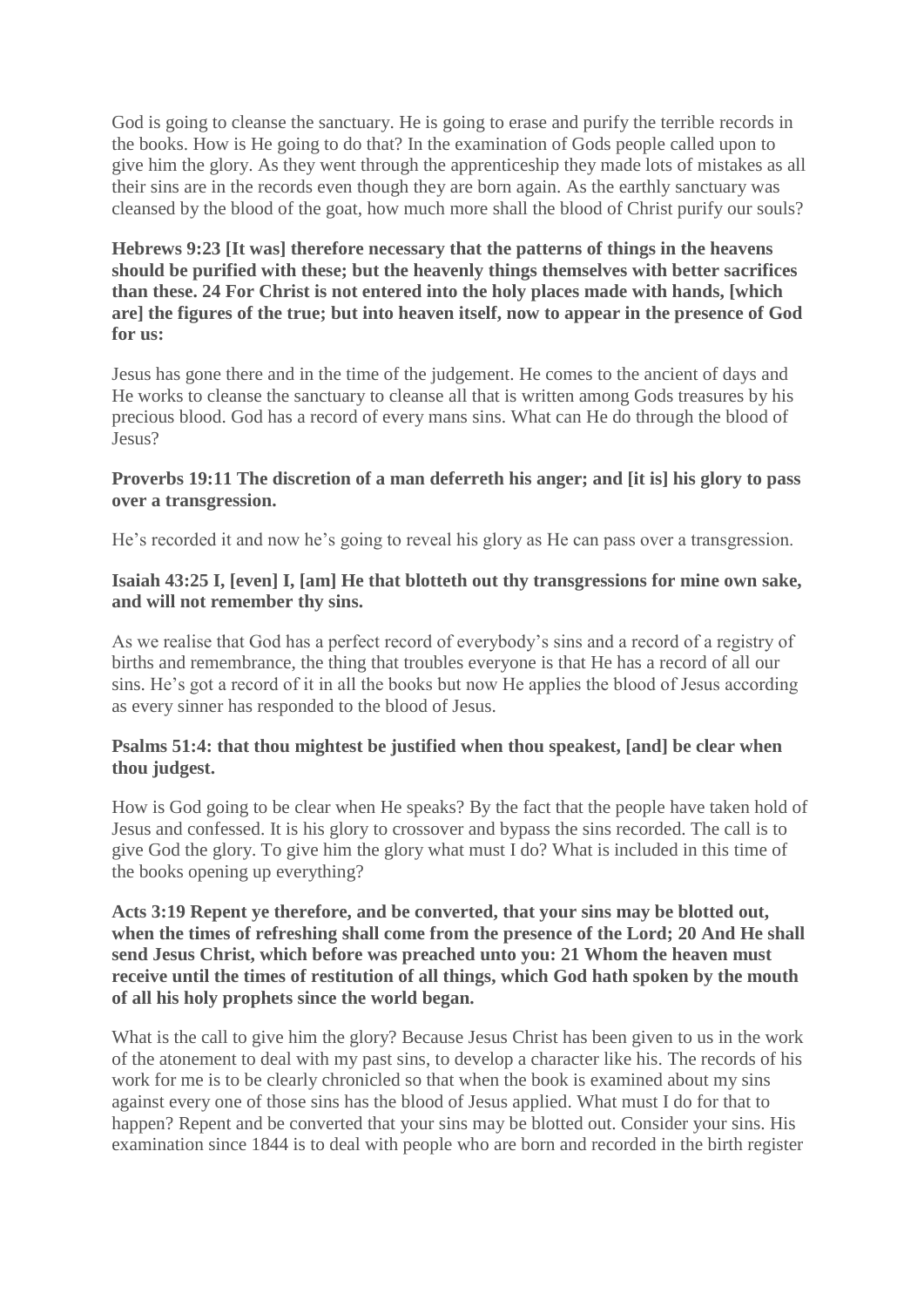God is going to cleanse the sanctuary. He is going to erase and purify the terrible records in the books. How is He going to do that? In the examination of Gods people called upon to give him the glory. As they went through the apprenticeship they made lots of mistakes as all their sins are in the records even though they are born again. As the earthly sanctuary was cleansed by the blood of the goat, how much more shall the blood of Christ purify our souls?

**Hebrews 9:23 [It was] therefore necessary that the patterns of things in the heavens should be purified with these; but the heavenly things themselves with better sacrifices than these. 24 For Christ is not entered into the holy places made with hands, [which are] the figures of the true; but into heaven itself, now to appear in the presence of God for us:**

Jesus has gone there and in the time of the judgement. He comes to the ancient of days and He works to cleanse the sanctuary to cleanse all that is written among Gods treasures by his precious blood. God has a record of every mans sins. What can He do through the blood of Jesus?

#### **Proverbs 19:11 The discretion of a man deferreth his anger; and [it is] his glory to pass over a transgression.**

He's recorded it and now he's going to reveal his glory as He can pass over a transgression.

## **Isaiah 43:25 I, [even] I, [am] He that blotteth out thy transgressions for mine own sake, and will not remember thy sins.**

As we realise that God has a perfect record of everybody's sins and a record of a registry of births and remembrance, the thing that troubles everyone is that He has a record of all our sins. He's got a record of it in all the books but now He applies the blood of Jesus according as every sinner has responded to the blood of Jesus.

## **Psalms 51:4: that thou mightest be justified when thou speakest, [and] be clear when thou judgest.**

How is God going to be clear when He speaks? By the fact that the people have taken hold of Jesus and confessed. It is his glory to crossover and bypass the sins recorded. The call is to give God the glory. To give him the glory what must I do? What is included in this time of the books opening up everything?

## **Acts 3:19 Repent ye therefore, and be converted, that your sins may be blotted out, when the times of refreshing shall come from the presence of the Lord; 20 And He shall send Jesus Christ, which before was preached unto you: 21 Whom the heaven must receive until the times of restitution of all things, which God hath spoken by the mouth of all his holy prophets since the world began.**

What is the call to give him the glory? Because Jesus Christ has been given to us in the work of the atonement to deal with my past sins, to develop a character like his. The records of his work for me is to be clearly chronicled so that when the book is examined about my sins against every one of those sins has the blood of Jesus applied. What must I do for that to happen? Repent and be converted that your sins may be blotted out. Consider your sins. His examination since 1844 is to deal with people who are born and recorded in the birth register